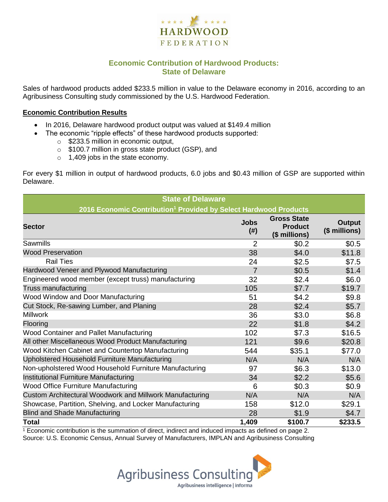

# **Economic Contribution of Hardwood Products: State of Delaware**

Sales of hardwood products added \$233.5 million in value to the Delaware economy in 2016, according to an Agribusiness Consulting study commissioned by the U.S. Hardwood Federation.

#### **Economic Contribution Results**

- In 2016, Delaware hardwood product output was valued at \$149.4 million
	- The economic "ripple effects" of these hardwood products supported:
		- o \$233.5 million in economic output,
		- o \$100.7 million in gross state product (GSP), and
		- o 1,409 jobs in the state economy.

For every \$1 million in output of hardwood products, 6.0 jobs and \$0.43 million of GSP are supported within Delaware.

| <b>State of Delaware</b>                                                     |                     |                                                       |                         |  |  |  |  |
|------------------------------------------------------------------------------|---------------------|-------------------------------------------------------|-------------------------|--|--|--|--|
| 2016 Economic Contribution <sup>1</sup> Provided by Select Hardwood Products |                     |                                                       |                         |  |  |  |  |
| <b>Sector</b>                                                                | <b>Jobs</b><br>(# ) | <b>Gross State</b><br><b>Product</b><br>(\$ millions) | Output<br>(\$ millions) |  |  |  |  |
| Sawmills                                                                     | 2                   | \$0.2                                                 | \$0.5                   |  |  |  |  |
| <b>Wood Preservation</b>                                                     | 38                  | \$4.0                                                 | \$11.8                  |  |  |  |  |
| <b>Rail Ties</b>                                                             | 24                  | \$2.5                                                 | \$7.5                   |  |  |  |  |
| Hardwood Veneer and Plywood Manufacturing                                    | $\overline{7}$      | \$0.5                                                 | \$1.4                   |  |  |  |  |
| Engineered wood member (except truss) manufacturing                          | 32                  | \$2.4                                                 | \$6.0                   |  |  |  |  |
| Truss manufacturing                                                          | 105                 | \$7.7                                                 | \$19.7                  |  |  |  |  |
| Wood Window and Door Manufacturing                                           | 51                  | \$4.2                                                 | \$9.8                   |  |  |  |  |
| Cut Stock, Re-sawing Lumber, and Planing                                     | 28                  | \$2.4                                                 | \$5.7                   |  |  |  |  |
| <b>Millwork</b>                                                              | 36                  | \$3.0                                                 | \$6.8                   |  |  |  |  |
| Flooring                                                                     | 22                  | \$1.8                                                 | \$4.2                   |  |  |  |  |
| Wood Container and Pallet Manufacturing                                      | 102                 | \$7.3                                                 | \$16.5                  |  |  |  |  |
| All other Miscellaneous Wood Product Manufacturing                           | 121                 | \$9.6                                                 | \$20.8                  |  |  |  |  |
| Wood Kitchen Cabinet and Countertop Manufacturing                            | 544                 | \$35.1                                                | \$77.0                  |  |  |  |  |
| Upholstered Household Furniture Manufacturing                                | N/A                 | N/A                                                   | N/A                     |  |  |  |  |
| Non-upholstered Wood Household Furniture Manufacturing                       | 97                  | \$6.3                                                 | \$13.0                  |  |  |  |  |
| Institutional Furniture Manufacturing                                        | 34                  | \$2.2                                                 | \$5.6                   |  |  |  |  |
| <b>Wood Office Furniture Manufacturing</b>                                   | 6                   | \$0.3                                                 | \$0.9                   |  |  |  |  |
| Custom Architectural Woodwork and Millwork Manufacturing                     | N/A                 | N/A                                                   | N/A                     |  |  |  |  |
| Showcase, Partition, Shelving, and Locker Manufacturing                      | 158                 | \$12.0                                                | \$29.1                  |  |  |  |  |
| <b>Blind and Shade Manufacturing</b>                                         | 28                  | \$1.9                                                 | \$4.7                   |  |  |  |  |
| <b>Total</b>                                                                 | 1,409               | \$100.7                                               | \$233.5                 |  |  |  |  |

 $1$  Economic contribution is the summation of direct, indirect and induced impacts as defined on page 2. Source: U.S. Economic Census, Annual Survey of Manufacturers, IMPLAN and Agribusiness Consulting